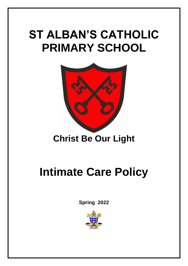# **ST ALBAN'S CATHOLIC PRIMARY SCHOOL**



# **Christ Be Our Light**

# **Intimate Care Policy**

**Spring 2022**

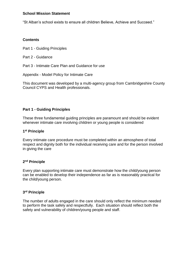#### **School Mission Statement**

"St Alban's school exists to ensure all children Believe, Achieve and Succeed."

#### **Contents**

Part 1 - Guiding Principles

Part 2 - Guidance

Part 3 - Intimate Care Plan and Guidance for use

Appendix - Model Policy for Intimate Care

This document was developed by a multi-agency group from Cambridgeshire County Council CYPS and Health professionals.

#### **Part 1 - Guiding Principles**

These three fundamental guiding principles are paramount and should be evident whenever intimate care involving children or young people is considered

#### **1 st Principle**

Every intimate care procedure must be completed within an atmosphere of total respect and dignity both for the individual receiving care and for the person involved in giving the care

#### **2 nd Principle**

Every plan supporting intimate care must demonstrate how the child/young person can be enabled to develop their independence as far as is reasonably practical for the child/young person.

#### **3 rd Principle**

The number of adults engaged in the care should only reflect the minimum needed to perform the task safely and respectfully. Each situation should reflect both the safety and vulnerability of children/young people and staff.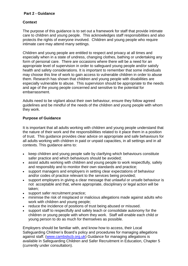# **Part 2 - Guidance**

# **Context**

The purpose of this guidance is to set out a framework for staff that provide intimate care to children and young people. This acknowledges staff responsibilities and also protects the rights of everyone involved. Children and young people who require intimate care may attend many settings.

Children and young people are entitled to respect and privacy at all times and especially when in a state of undress, changing clothes, bathing or undertaking any form of personal care. There are occasions where there will be a need for an appropriate level of supervision in order to safeguard young people and/or satisfy health and safety considerations. It is important to remember that some individuals may choose this line of work to gain access to vulnerable children in order to abuse them. Research has shown that children and young people with disabilities are especially vulnerable to abuse. This supervision should be appropriate to the needs and age of the young people concerned and sensitive to the potential for embarrassment.

Adults need to be vigilant about their own behaviour, ensure they follow agreed guidelines and be mindful of the needs of the children and young people with whom they work.

# **Purpose of Guidance**

It is important that all adults working with children and young people understand that the nature of their work and the responsibilities related to it place them in a position of trust. This guidance provides clear advice on appropriate and safe behaviours for all adults working with children in paid or unpaid capacities, in all settings and in all contexts. This guidance aims to:

- keep children and young people safe by clarifying which behaviours constitute safer practice and which behaviours should be avoided;
- assist adults working with children and young people to work respectfully, safely and responsibly and to monitor their own standards and practice;
- support managers and employers in setting clear expectations of behaviour and/or codes of practice relevant to the services being provided;
- support employers in giving a clear message that unlawful or unsafe behaviour is not acceptable and that, where appropriate, disciplinary or legal action will be taken;
- support safer recruitment practice;
- minimise the risk of misplaced or malicious allegations made against adults who work with children and young people;
- reduce the incidence of positions of trust being abused or misused.
- support staff to respectfully and safely teach or consolidate autonomy for the children or young people with whom they work. Staff will enable each child or young person to do as much for themselves as possible.

Employers should be familiar with, and know how to access, their Local Safeguarding Children's Board's policy and procedures for managing allegations against staff. [\(www.cambslscb.org.uk\)](http://www.cambslscb.org.uk/) Guidance for managing allegations is available in Safeguarding Children and Safer Recruitment in Education, Chapter 5 (currently under consultation).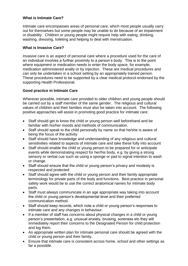# **What is Intimate Care?**

Intimate care encompasses areas of personal care, which most people usually carry out for themselves but some people may be unable to do because of an impairment or disability. Children or young people might require help with eating, drinking, washing, dressing, toileting and helping to deal with menstruation.

# **What is Invasive Care?**

Invasive care is an aspect of personal care where a procedure used for the care of an individual involves a further proximity to a person's body. This is to the point where equipment or medication needs to enter the body space, for example, medication administered anally or by injection. These are medical procedures and can only be undertaken in a school setting by an appropriately trained person. These procedures need to be supported by a clear medical protocol endorsed by the supporting Health Professional.

# **Good practice in Intimate Care**

Wherever possible, intimate care provided to older children and young people should be carried out by a staff member of the same gender. The religious and cultural values of children and their families must also be taken into account. The following positive approaches will assist in promoting good practice for intimate care:

- Staff should get to know the child or young person well beforehand and be familiar with his/her moods and methods of communication.
- Staff should speak to the child personally by name so that he/she is aware of being the focus of the activity
- Staff should have knowledge and understanding of any religious and cultural sensitivities related to aspects of intimate care and take these fully into account
- Staff should enable the child or young person to be prepared for or anticipate events while demonstrating respect for her/his body, e.g. by giving a strong sensory or verbal cue such as using a sponge or pad to signal intention to wash or change.
- Staff should ensure that the child or young person's privacy and modesty is respected and protected
- Staff should agree with the child or young person and their family appropriate terminology for private parts of the body and functions. Best practice in personal safety work would be to use the correct anatomical names for intimate body parts.
- Staff must always communicate in an age appropriate way taking into account the child or young person's developmental level and their preferred communication method.
- Staff should keep records, which note a child or young person's responses to intimate care and any changes in behaviour.
- If a member of staff has concerns about physical changes in a child or young person's presentation, e.g. unusual anxiety, bruising, soreness etc they will immediately report their concerns to the Designated Person for child protection and log them.
- An appropriate written plan for intimate personal care should be agreed with the child or young person and their family.
- Ensure that intimate care is consistent across home, school and other settings as far a possible.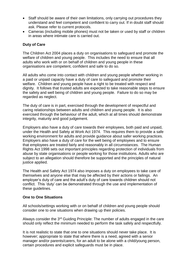- Staff should be aware of their own limitations, only carrying out procedures they understand and feel competent and confident to carry out. If in doubt staff should ask. Please refer to current protocols.
- Cameras (including mobile phones) must not be taken or used by staff or children in areas where intimate care is carried out.

#### **Duty of Care**

The Children Act 2004 places a duty on organisations to safeguard and promote the welfare of children and young people. This includes the need to ensure that all adults who work with or on behalf of children and young people in these organisations are competent, confident and safe to do so.

All adults who come into contact with children and young people whether working in a paid or unpaid capacity have a duty of care to safeguard and promote their welfare. Children and young people have a right to be treated with respect and dignity. It follows that trusted adults are expected to take reasonable steps to ensure the safety and well being of children and young people. Failure to do so may be regarded as neglect.

The duty of care is in part, exercised through the development of respectful and caring relationships between adults and children and young people. It is also exercised through the behaviour of the adult, which at all times should demonstrate integrity, maturity and good judgement.

Employers also have a duty of care towards their employees, both paid and unpaid, under the Health and Safety at Work Act 1974. This requires them to provide a safe working environment for adults and provide guidance about safer working practices. Employers also have a duty of care for the well being of employees and to ensure that employees are treated fairly and reasonably in all circumstances. The Human Rights Act 1998 sets out important principles regarding protection of individuals from abuse by state organisations or people working for those institutions. Adults who are subject to an allegation should therefore be supported and the principles of natural justice applied.

The Health and Safety Act 1974 also imposes a duty on employees to take care of themselves and anyone else that may be affected by their actions or failings. An employer's duty of care and the adult's duty of care towards children should not conflict. This 'duty' can be demonstrated through the use and implementation of these guidelines.

#### **One to One Situations**

All schools/settings working with or on behalf of children and young people should consider one to one situations when drawing up their policies.

Always consider the 3rd Guiding Principle: The number of adults engaged in the care should only reflect the minimum needed to perform the task safely and respectfully.

It is not realistic to state that one to one situations should never take place. It is however; appropriate to state that where there is a need, agreed with a senior manager and/or parents/carers, for an adult to be alone with a child/young person, certain procedures and explicit safeguards must be in place.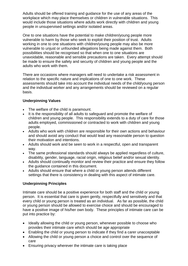Adults should be offered training and guidance for the use of any areas of the workplace which may place themselves or children in vulnerable situations. This would include those situations where adults work directly with children and young people in unsupervised settings and/or isolated areas.

One to one situations have the potential to make children/young people more vulnerable to harm by those who seek to exploit their position of trust. Adults working in one to one situations with children/young people may also be more vulnerable to unjust or unfounded allegations being made against them. Both possibilities should be recognised so that when one to one situations are unavoidable, reasonable and sensible precautions are taken. Every attempt should be made to ensure the safety and security of children and young people and the adults who work with them.

There are occasions where managers will need to undertake a risk assessment in relation to the specific nature and implications of one to one work. These assessments should take into account the individual needs of the child/young person and the individual worker and any arrangements should be reviewed on a regular basis.

#### **Underpinning Values**

- The welfare of the child is paramount.
- It is the responsibility of all adults to safeguard and promote the welfare of children and young people. This responsibility extends to a duty of care for those adults employed, commissioned or contracted to work with children and young people.
- Adults who work with children are responsible for their own actions and behaviour and should avoid any conduct that would lead any reasonable person to question their motivation and intentions.
- Adults should work and be seen to work in a respectful, open and transparent way.
- The same professional standards should always be applied regardless of culture, disability, gender, language, racial origin, religious belief and/or sexual identity.
- Adults should continually monitor and review their practice and ensure they follow the guidance contained in this document.
- Adults should ensure that where a child or young person attends different settings that there is consistency in dealing with this aspect of intimate care.

# **Underpinning Principles**

Intimate care should be a positive experience for both staff and the child or young person. It is essential that care is given gently, respectfully and sensitively and that every child or young person is treated as an individual. As far as possible, the child or young person should be allowed to exercise choice and should be encouraged to have a positive image of his/her own body. These principles of intimate care can be put into practice by:

- Ideally allowing the child or young person, whenever possible to choose who provides their intimate care which should be age appropriate
- Enabling the child or young person to indicate if they find a carer unacceptable
- Allowing the child or young person a choice and control over the sequence of care
- Ensuring privacy wherever the intimate care is taking place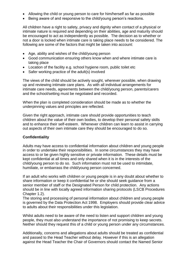- Allowing the child or young person to care for him/herself as far as possible
- Being aware of and responsive to the child/young person's reactions.

All children have a right to safety, privacy and dignity when contact of a physical or intimate nature is required and depending on their abilities, age and maturity should be encouraged to act as independently as possible. The decision as to whether or not a door is locked when intimate care is taking place needs to be considered. The following are some of the factors that might be taken into account:

- Age, ability and wishes of the child/young person
- Good communication ensuring others know when and where intimate care is taking place
- Location of the facility e.g. school hygiene room, public toilet etc
- Safer working practice of the adult(s) involved

The views of the child should be actively sought, wherever possible, when drawing up and reviewing intimate care plans. As with all individual arrangements for intimate care needs, agreements between the child/young person, parents/carers and the school/setting must be negotiated and recorded.

When the plan is completed consideration should be made as to whether the underpinning values and principles are reflected.

Given the right approach, intimate care should provide opportunities to teach children about the value of their own bodies, to develop their personal safety skills and to enhance their self-esteem. Whenever children can learn to assist in carrying out aspects of their own intimate care they should be encouraged to do so.

# **Confidentiality**

Adults may have access to confidential information about children and young people in order to undertake their responsibilities. In some circumstances they may have access to or be given highly sensitive or private information. These details must be kept confidential at all times and only shared when it is in the interests of the child/young person to do so. Such information must not be used to intimidate, humiliate, or embarrass the child/young person concerned.

If an adult who works with children or young people is in any doubt about whether to share information or keep it confidential he or she should seek guidance from a senior member of staff or the Designated Person for child protection. Any actions should be in line with locally agreed information sharing protocols (LSCB Procedures Chapter 1.2).

The storing and processing of personal information about children and young people is governed by the Data Protection Act 1998. Employers should provide clear advice to adults about their responsibilities under this legislation.

Whilst adults need to be aware of the need to listen and support children and young people, they must also understand the importance of not promising to keep secrets. Neither should they request this of a child or young person under any circumstances.

Additionally, concerns and allegations about adults should be treated as confidential and passed to the Head Teacher without delay. However if this is an allegation against the Head Teacher the Chair of Governors should contact the Named Senior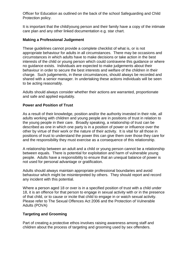Officer for Education as outlined on the back of the school Safeguarding and Child Protection policy.

It is important that the child/young person and their family have a copy of the intimate care plan and any other linked documentation e.g. star chart.

### **Making a Professional Judgement**

These guidelines cannot provide a complete checklist of what is, or is not appropriate behaviour for adults in all circumstances. There may be occasions and circumstances in which adults have to make decisions or take action in the best interests of the child or young person which could contravene this guidance or where no guidance exists. Individuals are expected to make judgements about their behaviour in order to secure the best interests and welfare of the children in their charge. Such judgements, in these circumstances, should always be recorded and shared with a senior manager. In undertaking these actions individuals will be seen to be acting reasonably.

Adults should always consider whether their actions are warranted, proportionate and safe and applied equitably.

#### **Power and Position of Trust**

As a result of their knowledge, position and/or the authority invested in their role, all adults working with children and young people are in positions of trust in relation to the young people in their care. Broadly speaking, a relationship of trust can be described as one in which one party is in a position of power or influence over the other by virtue of their work or the nature of their activity. It is vital for all those in positions of trust to understand the power this can give them over those they care for and the responsibility they must exercise as a consequence of this relationship.

A relationship between an adult and a child or young person cannot be a relationship between equals. There is potential for exploitation and harm of vulnerable young people. Adults have a responsibility to ensure that an unequal balance of power is not used for personal advantage or gratification.

Adults should always maintain appropriate professional boundaries and avoid behaviour which might be misinterpreted by others. They should report and record any incident with this potential.

Where a person aged 18 or over is in a specified position of trust with a child under 18, it is an offence for that person to engage in sexual activity with or in the presence of that child, or to cause or incite that child to engage in or watch sexual activity. Please refer to The Sexual Offences Act 2006 and the Protection of Vulnerable Adults (POVA)

# **Targeting and Grooming**

Part of creating a protective ethos involves raising awareness among staff and children about the process of targeting and grooming used by sex offenders.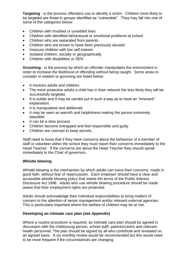**Targeting** - is the process offenders use to identify a victim. Children most likely to be targeted are those in groups identified as "vulnerable". They may fall into one of some of the categories below:

- Children with troubled or unsettled lives
- Children with identified behavioural or emotional problems at school
- Children who are separated from parents
- Children who are known to have been previously abused
- Insecure children with low self esteem
- Isolated children, socially or geographically
- Children with disabilities or SEN

**Grooming** - is the process by which an offender manipulates the environment in order to increase the likelihood of offending without being caught. Some areas to consider in relation to grooming are listed below:

- It involves adults and children.
- The more protective adults a child has in their network the less likely they will be successfully targeted.
- It is subtle and it may be carried out in such a way as to have an "innocent" explanation.
- It is manipulative and deliberate
- It may be seen as warmth and helpfulness making the person extremely plausible
- It can be a slow process
- Children become entrapped and feel responsible and guilty
- Children are coerced to keep secrets.

Staff need to know that if they have concerns about the behaviour of a member of staff or volunteer within the school they must report their concerns immediately to the Head Teacher. If the concerns are about the Head Teacher they should speak immediately to the Chair of governors.

#### **Whistle blowing**

Whistle blowing is the mechanism by which adults can voice their concerns, made in good faith, without fear of repercussion. Each employer should have a clear and accessible whistle blowing policy that meets the terms of the Public Interest Disclosure Act 1998. Adults who use whistle blowing procedure should be made aware that their employment rights are protected.

Adults should acknowledge their individual responsibilities to bring matters of concern to the attention of senior management and/or relevant external agencies. This is particularly important where the welfare of children may be at risk.

#### **Developing an intimate care plan (see Appendix)**

Where a routine procedure is required, an intimate care plan should be agreed in discussion with the child/young person, school staff, parents/carers and relevant health personnel. The plan should be signed by all who contribute and reviewed on an agreed basis. A six monthly review would be recommended but this would need to be more frequent if the circumstances are changing.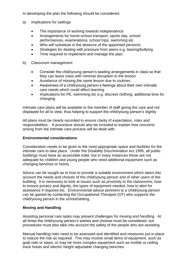In developing the plan the following should be considered:

- a) Implications for settings
	- The importance of working towards independence
	- Arrangements for home-school transport, sports day, school performances, examinations, school trips, swimming etc
	- Who will substitute in the absence of the appointed person/s
	- Strategies for dealing with pressure from peers e.g. teasing/bullying
	- Time required to implement and manage the plan.
- b) Classroom management
	- Consider the child/young person's seating arrangements in class so that they can leave class with minimal disruption to the lesson
	- Avoidance of missing the same lesson due to routines
	- Awareness of a child/young person's feelings about their own intimate care needs which could affect learning
	- Implications for PE, swimming etc e.g. discreet clothing, additional time for changing

Intimate care plans will be available to the member of staff giving the care and not displayed for all to view, thus helping to support the child/young person's dignity

All plans must be clearly recorded to ensure clarity of expectation, roles and responsibilities. A procedure should also be included to explain how concerns arising from the intimate care process will be dealt with.

# **Environmental considerations**

Consideration needs to be given to the most appropriate space and facilities for the intimate care to take place. Under the Disability Discrimination Act 1995, all public buildings must have an accessible toilet, but in many instances these are not adequate for children and young people who need additional equipment such as changing benches or hoists.

Advice can be sought as to how to provide a suitable environment which takes into account the needs and choices of the child/young person and of other users of the building. It is necessary to look at issues such as proximity to the classrooms, how to ensure privacy and dignity, the types of equipment needed, how to alert for assistance if required etc. Environmental advice pertinent to a child/young person can be gained by contacting the Occupational Therapist (OT) who supports the child/young person in the school/setting.

# **Moving and Handling**

Assisting personal care tasks may present challenges for moving and handling. At all times the child/young person's wishes and choices must be considered, but procedures must also take into account the safety of the people who are assisting.

Manual handling risks need to be assessed and identified and measures put in place to reduce the risk as required. This may involve small items of equipment, such as grab rails or steps, or may be more complex equipment such as mobile or ceiling track hoists and electric height adjustable changing benches.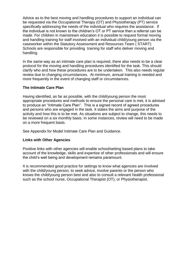Advice as to the best moving and handling procedures to support an individual can be requested via the Occupational Therapy (OT) and Physiotherapy (PT) service specifically addressing the needs of the individual who requires the assistance. If the individual is not known to the children's OT or PT service then a referral can be made. For children in mainstream education it is possible to request formal moving and handling training for staff involved with an individual child/young person via the caseworker within the Statutory Assessment and Resources Team ( START) Schools are responsible for providing training for staff who deliver moving and handling.

In the same way as an intimate care plan is required, there also needs to be a clear protocol for the moving and handling procedures identified for the task. This should clarify who and how these procedures are to be undertaken. This also needs regular review due to changing circumstances. At minimum, annual training is needed and more frequently in the event of changing staff or circumstances.

#### **The Intimate Care Plan**

Having identified, as far as possible, with the child/young person the most appropriate procedures and methods to ensure the personal care is met, it is advised to produce an "Intimate Care Plan". This is a signed record of agreed procedures and persons who are engaged in the task. It states the aims and purpose of the activity and how this is to be met. As situations are subject to change, this needs to be reviewed on a six monthly basis. In some instances, review will need to be made on a more frequent basis.

See Appendix for Model Intimate Care Plan and Guidance.

#### **Links with Other Agencies**

Positive links with other agencies will enable school/setting based plans to take account of the knowledge, skills and expertise of other professionals and will ensure the child's well being and development remains paramount.

It is recommended good practice for settings to know what agencies are involved with the child/young person, to seek advice, involve parents or the person who knows the child/young person best and also to consult a relevant health professional such as the school nurse, Occupational Therapist (OT), or Physiotherapist.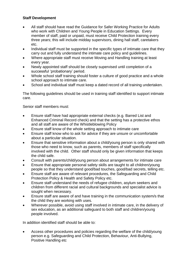# **Staff Development**

- All staff should have read the Guidance for Safer Working Practice for Adults who work with Children and Young People in Education Settings. Every member of staff, paid or unpaid, must receive Child Protection training every three years; this will include midday supervisors, dining hall staff, caretakers etc.
- Individual staff must be supported in the specific types of intimate care that they carry out and fully understand the intimate care policy and guidelines.
- Where appropriate staff must receive Moving and Handling training at least every year.
- Newly appointed staff should be closely supervised until completion of a successful 'probationary' period.
- Whole school staff training should foster a culture of good practice and a whole school approach to intimate care.
- School and individual staff must keep a dated record of all training undertaken.

The following guidelines should be used in training staff identified to support intimate care.

Senior staff members must:

- Ensure staff have had appropriate external checks (e.g. Barred List and Enhanced Criminal Record check) and that the setting has a protective ethos and all staff are aware of the Whistleblowing Policy
- Ensure staff know of the whole setting approach to intimate care
- Ensure staff know who to ask for advice if they are unsure or uncomfortable about a particular situation.
- Ensure that sensitive information about a child/young person is only shared with those who need to know, such as parents, members of staff specifically involved with the child. Other staff should only be given information that keeps the child safe.
- Consult with parents/child/young person about arrangements for intimate care
- Ensure that appropriate personal safety skills are taught to all children/young people so that they understand good/bad touches, good/bad secrets, telling etc.
- Ensure staff are aware of relevant procedures, the Safeguarding and Child Protection Policy & Health and Safety Policy etc.
- Ensure staff understand the needs of refugee children, asylum seekers and children from different racial and cultural backgrounds and specialist advice is sought when necessary.
- Ensure staff are aware of and have training in the communication system/s that the child they are working with uses.
- Wherever possible, avoid using staff involved in intimate care, in the delivery of sex education, as an additional safeguard to both staff and children/young people involved.

In addition identified staff should be able to:

 Access other procedures and policies regarding the welfare of the child/young person e.g. Safeguarding and Child Protection, Behaviour, Anti-Bullying, Positive Handling etc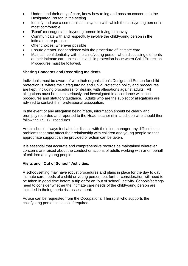- Understand their duty of care, know how to log and pass on concerns to the Designated Person in the setting
- Identify and use a communication system with which the child/young person is most comfortable
- 'Read' messages a child/young person is trying to convey
- Communicate with and respectfully involve the child/young person in the intimate care process
- Offer choices, wherever possible
- Ensure greater independence with the procedure of intimate care
- Maintain confidentiality with the child/young person when discussing elements of their intimate care unless it is a child protection issue when Child Protection Procedures must be followed.

#### **Sharing Concerns and Recording Incidents**

Individuals must be aware of who their organisation's Designated Person for child protection is, where the Safeguarding and Child Protection policy and procedures are kept, including procedures for dealing with allegations against adults. All allegations must be taken seriously and investigated in accordance with local procedures and statutory guidance. Adults who are the subject of allegations are advised to contact their professional association.

In the event of any allegation being made, information should be clearly and promptly recorded and reported to the Head teacher (if in a school) who should then follow the LSCB Procedures.

Adults should always feel able to discuss with their line manager any difficulties or problems that may affect their relationship with children and young people so that appropriate support can be provided or action can be taken.

It is essential that accurate and comprehensive records be maintained wherever concerns are raised about the conduct or actions of adults working with or on behalf of children and young people.

#### **Visits and "Out of School" Activities.**

A school/setting may have robust procedures and plans in place for the day to day intimate care needs of a child or young person, but further consideration will need to be taken in good time before a trip or for an "out of school" activity. Schools/settings need to consider whether the intimate care needs of the child/young person are included in their generic risk assessment.

Advice can be requested from the Occupational Therapist who supports the child/young person in school if required.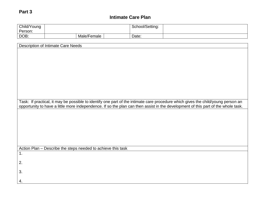# **Part 3**

# **Intimate Care Plan**

| Child/Young<br>Person: |             | School/Setting: |  |
|------------------------|-------------|-----------------|--|
| DOB:                   | Male/Female | Date:           |  |

| Description of Intimate Care Needs                                                                                                |  |  |  |
|-----------------------------------------------------------------------------------------------------------------------------------|--|--|--|
|                                                                                                                                   |  |  |  |
|                                                                                                                                   |  |  |  |
|                                                                                                                                   |  |  |  |
|                                                                                                                                   |  |  |  |
|                                                                                                                                   |  |  |  |
|                                                                                                                                   |  |  |  |
|                                                                                                                                   |  |  |  |
|                                                                                                                                   |  |  |  |
|                                                                                                                                   |  |  |  |
|                                                                                                                                   |  |  |  |
| Task: If practical, it may be possible to identify one part of the intimate care procedure which gives the child/young person an  |  |  |  |
| opportunity to have a little more independence. If so the plan can then assist in the development of this part of the whole task. |  |  |  |
|                                                                                                                                   |  |  |  |
|                                                                                                                                   |  |  |  |
|                                                                                                                                   |  |  |  |
|                                                                                                                                   |  |  |  |
|                                                                                                                                   |  |  |  |
|                                                                                                                                   |  |  |  |
|                                                                                                                                   |  |  |  |
| Action Plan - Describe the steps needed to achieve this task                                                                      |  |  |  |
| $\overline{1}$ .                                                                                                                  |  |  |  |
|                                                                                                                                   |  |  |  |
| 2.                                                                                                                                |  |  |  |
|                                                                                                                                   |  |  |  |
| 3.                                                                                                                                |  |  |  |
| 4.                                                                                                                                |  |  |  |
|                                                                                                                                   |  |  |  |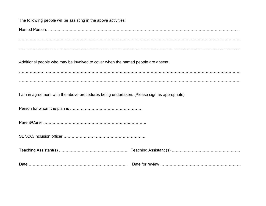| The following people will be assisting in the above activities:                            |  |
|--------------------------------------------------------------------------------------------|--|
|                                                                                            |  |
|                                                                                            |  |
|                                                                                            |  |
| Additional people who may be involved to cover when the named people are absent:           |  |
|                                                                                            |  |
|                                                                                            |  |
| I am in agreement with the above procedures being undertaken: (Please sign as appropriate) |  |
|                                                                                            |  |
|                                                                                            |  |
|                                                                                            |  |
|                                                                                            |  |
|                                                                                            |  |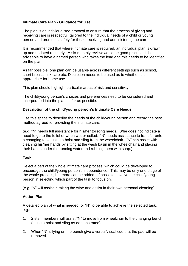#### **Intimate Care Plan - Guidance for Use**

The plan is an individualised protocol to ensure that the process of giving and receiving care is respectful, tailored to the individual needs of a child or young person and promotes safety for those receiving and administering the care.

It is recommended that where intimate care is required, an individual plan is drawn up and updated regularly. A six-monthly review would be good practice. It is advisable to have a named person who takes the lead and this needs to be identified on the plan.

As far possible, one plan can be usable across different settings such as school, short breaks, link care etc. Discretion needs to be used as to whether it is appropriate for home use.

This plan should highlight particular areas of risk and sensitivity.

The child/young person's choices and preferences need to be considered and incorporated into the plan as far as possible.

#### **Description of the child/young person's Intimate Care Needs**

Use this space to describe the needs of the child/young person and record the best method agreed for providing the intimate care.

(e.g. "N" needs full assistance for his/her toileting needs. S/he does not indicate a need to go to the toilet or when wet or soiled. "N" needs assistance to transfer onto a changing table using a hoist and sling from the wheelchair. "N" can assist with cleaning his/her hands by sitting at the wash basin in the wheelchair and placing their hands under the running water and rubbing them with soap.)

#### **Task**

Select a part of the whole intimate care process, which could be developed to encourage the child/young person's independence. This may be only one stage of the whole process, but more can be added. If possible, involve the child/young person in selecting which part of the task to focus on.

(e.g. "N" will assist in taking the wipe and assist in their own personal cleaning)

#### **Action Plan**

A detailed plan of what is needed for "N" to be able to achieve the selected task, e.g.:

- 1. 2 staff members will assist "N" to move from wheelchair to the changing bench (using a hoist and sling as demonstrated).
- 2. When "N" is lying on the bench give a verbal/visual cue that the pad will be removed.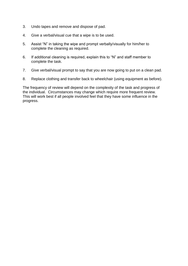- 3. Undo tapes and remove and dispose of pad.
- 4. Give a verbal/visual cue that a wipe is to be used.
- 5. Assist "N" in taking the wipe and prompt verbally/visually for him/her to complete the cleaning as required.
- 6. If additional cleaning is required, explain this to "N" and staff member to complete the task.
- 7. Give verbal/visual prompt to say that you are now going to put on a clean pad.
- 8. Replace clothing and transfer back to wheelchair (using equipment as before).

The frequency of review will depend on the complexity of the task and progress of the individual. Circumstances may change which require more frequent review. This will work best if all people involved feel that they have some influence in the progress.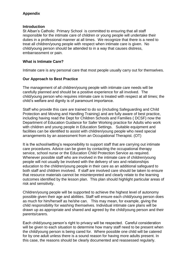# **Appendix**

#### **Introduction**

St Alban's Catholic Primary School is committed to ensuring that all staff responsible for the intimate care of children or young people will undertake their duties in a professional manner at all times. We recognize that there is a need to treat all children/young people with respect when intimate care is given. No child/young person should be attended to in a way that causes distress, embarrassment or pain.

#### **What is Intimate Care?**

Intimate care is any personal care that most people usually carry out for themselves.

# **Our Approach to Best Practice**

The management of all children/young people with intimate care needs will be carefully planned and should be a positive experience for all involved. The child/young person who requires intimate care is treated with respect at all times; the child's welfare and dignity is of paramount importance.

Staff who provide this care are trained to do so (including Safeguarding and Child Protection and Moving and Handling Training) and are fully aware of best practice, including having read the Dept for Children Schools and Families ( DCSF) now the Department of Education Guidance for Safer Working practice for Adults who work with children and young people in Education Settings. Suitable equipment and facilities can be identified to assist with children/young people who need special arrangements by an assessment from an Occupational Therapist. (OT)

It is the school/setting's responsibility to support staff that are carrying out intimate care procedures. Advice can be given by contacting the occupational therapy service, school nurse or the Education Child Protection Service as required. Whenever possible staff who are involved in the intimate care of children/young people will not usually be involved with the delivery of sex and relationships education to the children/young people in their care as an additional safeguard to both staff and children involved. If staff are involved care should be taken to ensure that resource materials cannot be misinterpreted and clearly relate to the learning outcomes identified by the lesson plan. This plan should highlight particular areas of risk and sensitivity.

Children/young people will be supported to achieve the highest level of autonomy possible given their age and abilities. Staff will ensure each child/young person does as much for him/herself as he/she can. This may mean, for example, giving the child responsibility for washing themselves. Individual intimate care plans will be drawn up as appropriate and shared and agreed by the child/young person and their parents/carers.

Each child/young person's right to privacy will be respected. Careful consideration will be given to each situation to determine how many staff need to be present when the child/young person is being cared for. Where possible one child will be catered for by one adult unless there is a sound reason for having more adults present. In this case, the reasons should be clearly documented and reassessed regularly.